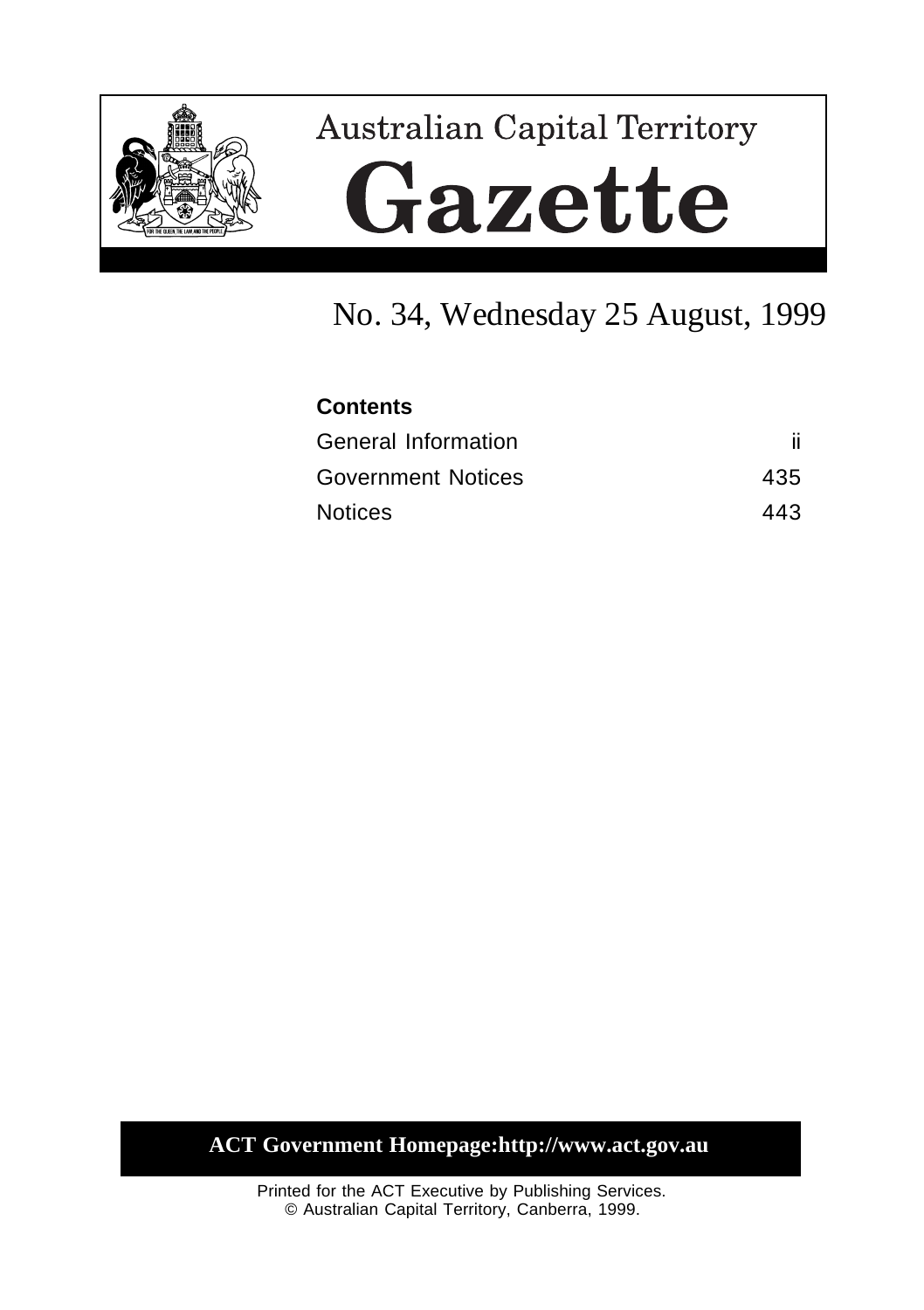

# **Australian Capital Territory** Gazette

# No. 34, Wednesday 25 August, 1999

# **Contents** General Information iii Government Notices 435 Notices 443

**ACT Government Homepage:http://www.act.gov.au**

Printed for the ACT Executive by Publishing Services. © Australian Capital Territory, Canberra, 1999.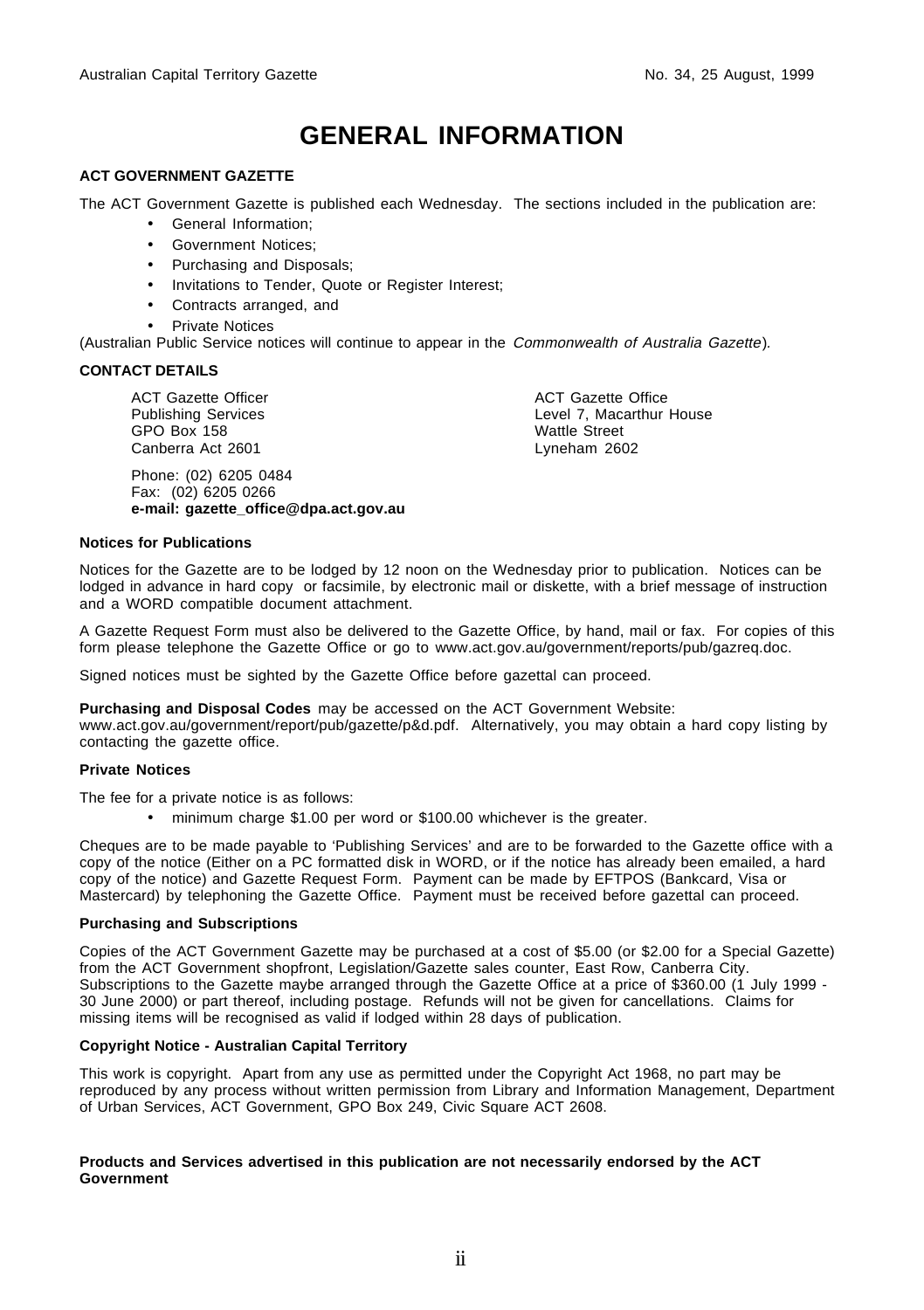## **GENERAL INFORMATION**

#### **ACT GOVERNMENT GAZETTE**

The ACT Government Gazette is published each Wednesday. The sections included in the publication are:

- General Information;
- Government Notices;
- Purchasing and Disposals;
- Invitations to Tender, Quote or Register Interest;
- Contracts arranged, and
- **Private Notices**

(Australian Public Service notices will continue to appear in the Commonwealth of Australia Gazette).

#### **CONTACT DETAILS**

ACT Gazette Officer Publishing Services GPO Box 158 Canberra Act 2601

Phone: (02) 6205 0484 Fax: (02) 6205 0266 **e-mail: gazette\_office@dpa.act.gov.au**

ACT Gazette Office Level 7, Macarthur House Wattle Street Lyneham 2602

#### **Notices for Publications**

Notices for the Gazette are to be lodged by 12 noon on the Wednesday prior to publication. Notices can be lodged in advance in hard copy or facsimile, by electronic mail or diskette, with a brief message of instruction and a WORD compatible document attachment.

A Gazette Request Form must also be delivered to the Gazette Office, by hand, mail or fax. For copies of this form please telephone the Gazette Office or go to www.act.gov.au/government/reports/pub/gazreq.doc.

Signed notices must be sighted by the Gazette Office before gazettal can proceed.

#### **Purchasing and Disposal Codes** may be accessed on the ACT Government Website:

www.act.gov.au/government/report/pub/gazette/p&d.pdf. Alternatively, you may obtain a hard copy listing by contacting the gazette office.

#### **Private Notices**

The fee for a private notice is as follows:

• minimum charge \$1.00 per word or \$100.00 whichever is the greater.

Cheques are to be made payable to 'Publishing Services' and are to be forwarded to the Gazette office with a copy of the notice (Either on a PC formatted disk in WORD, or if the notice has already been emailed, a hard copy of the notice) and Gazette Request Form. Payment can be made by EFTPOS (Bankcard, Visa or Mastercard) by telephoning the Gazette Office. Payment must be received before gazettal can proceed.

#### **Purchasing and Subscriptions**

Copies of the ACT Government Gazette may be purchased at a cost of \$5.00 (or \$2.00 for a Special Gazette) from the ACT Government shopfront, Legislation/Gazette sales counter, East Row, Canberra City. Subscriptions to the Gazette maybe arranged through the Gazette Office at a price of \$360.00 (1 July 1999 -30 June 2000) or part thereof, including postage. Refunds will not be given for cancellations. Claims for missing items will be recognised as valid if lodged within 28 days of publication.

#### **Copyright Notice - Australian Capital Territory**

This work is copyright. Apart from any use as permitted under the Copyright Act 1968, no part may be reproduced by any process without written permission from Library and Information Management, Department of Urban Services, ACT Government, GPO Box 249, Civic Square ACT 2608.

#### **Products and Services advertised in this publication are not necessarily endorsed by the ACT Government**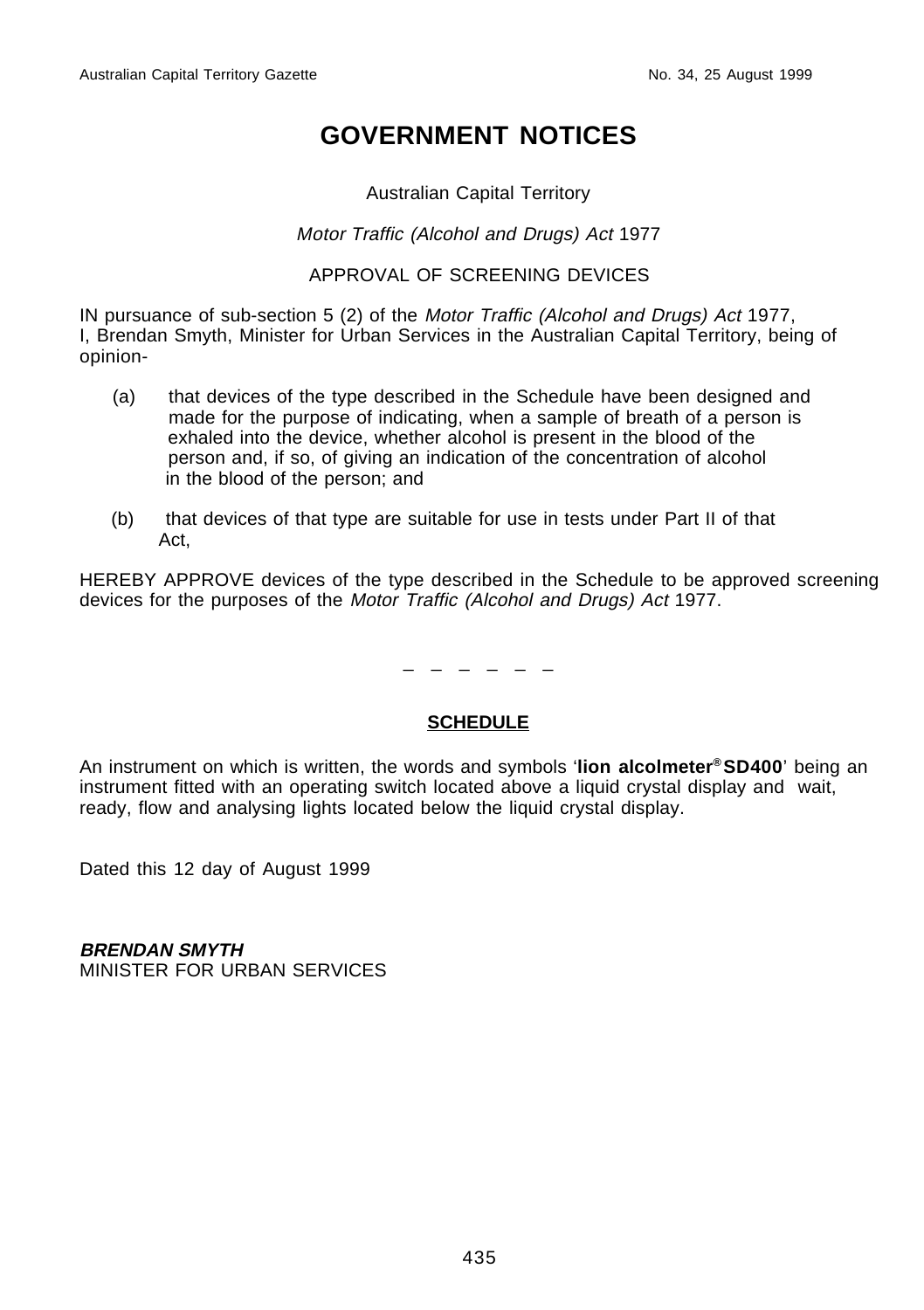## **GOVERNMENT NOTICES**

#### Australian Capital Territory

#### Motor Traffic (Alcohol and Drugs) Act 1977

#### APPROVAL OF SCREENING DEVICES

IN pursuance of sub-section 5 (2) of the Motor Traffic (Alcohol and Drugs) Act 1977, I, Brendan Smyth, Minister for Urban Services in the Australian Capital Territory, being of opinion-

- (a) that devices of the type described in the Schedule have been designed and made for the purpose of indicating, when a sample of breath of a person is exhaled into the device, whether alcohol is present in the blood of the person and, if so, of giving an indication of the concentration of alcohol in the blood of the person; and
- (b) that devices of that type are suitable for use in tests under Part II of that Act,

HEREBY APPROVE devices of the type described in the Schedule to be approved screening devices for the purposes of the Motor Traffic (Alcohol and Drugs) Act 1977.

\_ \_ \_ \_ \_ \_

#### **SCHEDULE**

An instrument on which is written, the words and symbols '**lion alcolmeter® SD400**' being an instrument fitted with an operating switch located above a liquid crystal display and wait, ready, flow and analysing lights located below the liquid crystal display.

Dated this 12 day of August 1999

**BRENDAN SMYTH** MINISTER FOR URBAN SERVICES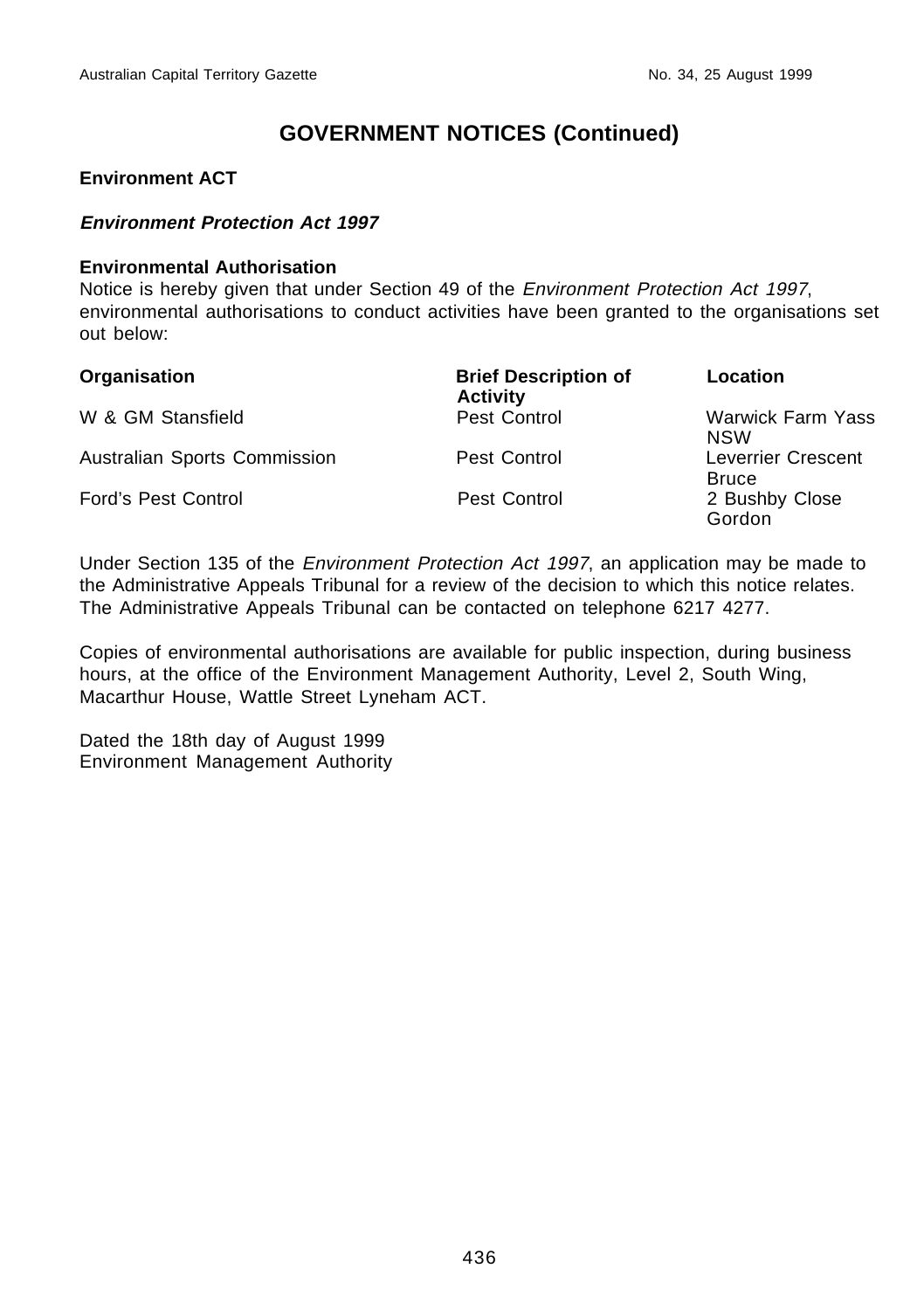#### **Environment ACT**

#### **Environment Protection Act 1997**

#### **Environmental Authorisation**

Notice is hereby given that under Section 49 of the Environment Protection Act 1997, environmental authorisations to conduct activities have been granted to the organisations set out below:

| Organisation                 | <b>Brief Description of</b><br><b>Activity</b> | Location                                  |
|------------------------------|------------------------------------------------|-------------------------------------------|
| W & GM Stansfield            | Pest Control                                   | <b>Warwick Farm Yass</b><br><b>NSW</b>    |
| Australian Sports Commission | Pest Control                                   | <b>Leverrier Crescent</b><br><b>Bruce</b> |
| <b>Ford's Pest Control</b>   | Pest Control                                   | 2 Bushby Close<br>Gordon                  |

Under Section 135 of the *Environment Protection Act 1997*, an application may be made to the Administrative Appeals Tribunal for a review of the decision to which this notice relates. The Administrative Appeals Tribunal can be contacted on telephone 6217 4277.

Copies of environmental authorisations are available for public inspection, during business hours, at the office of the Environment Management Authority, Level 2, South Wing, Macarthur House, Wattle Street Lyneham ACT.

Dated the 18th day of August 1999 Environment Management Authority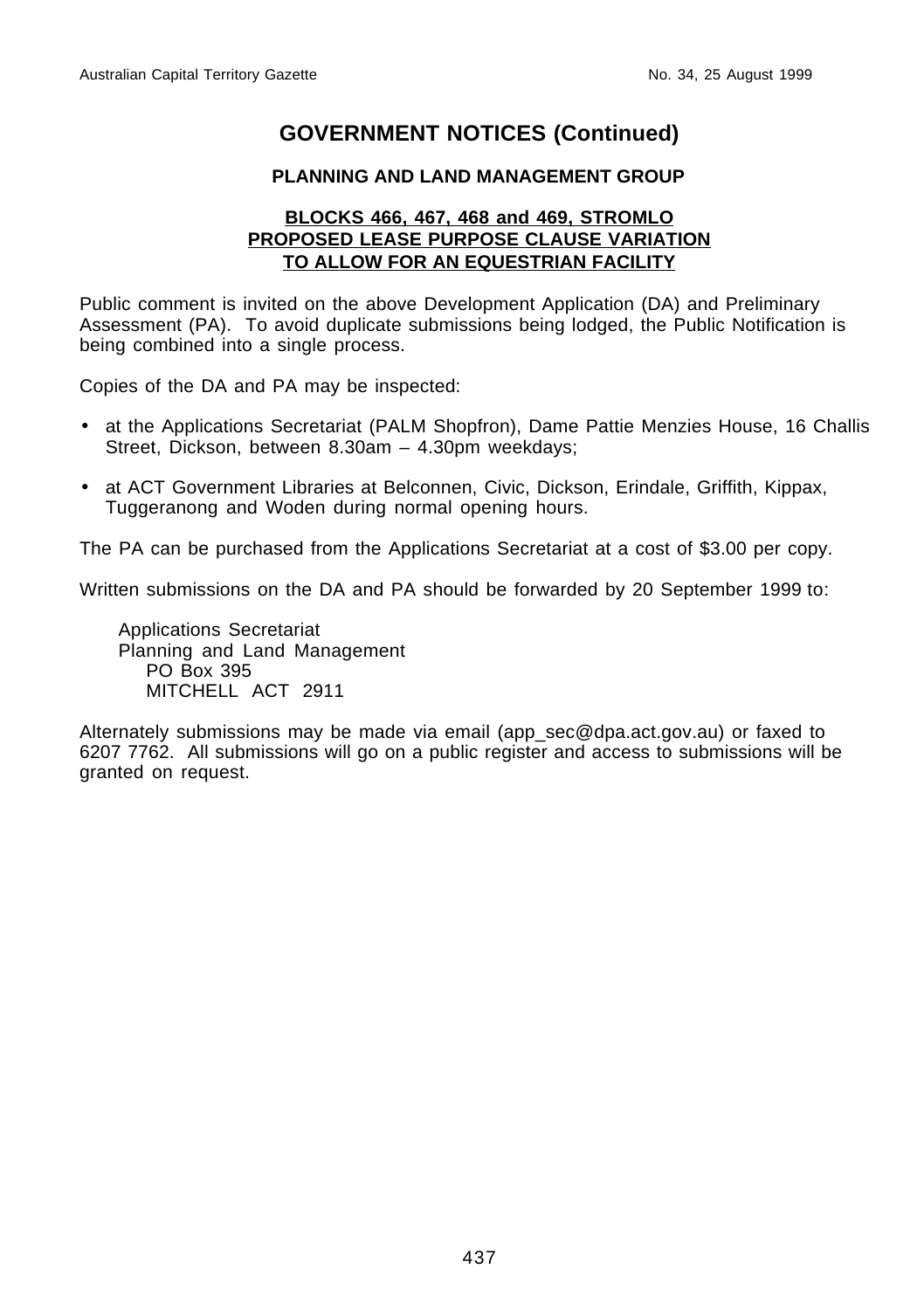## **PLANNING AND LAND MANAGEMENT GROUP**

#### **BLOCKS 466, 467, 468 and 469, STROMLO PROPOSED LEASE PURPOSE CLAUSE VARIATION TO ALLOW FOR AN EQUESTRIAN FACILITY**

Public comment is invited on the above Development Application (DA) and Preliminary Assessment (PA). To avoid duplicate submissions being lodged, the Public Notification is being combined into a single process.

Copies of the DA and PA may be inspected:

- at the Applications Secretariat (PALM Shopfron), Dame Pattie Menzies House, 16 Challis Street, Dickson, between 8.30am – 4.30pm weekdays;
- at ACT Government Libraries at Belconnen, Civic, Dickson, Erindale, Griffith, Kippax, Tuggeranong and Woden during normal opening hours.

The PA can be purchased from the Applications Secretariat at a cost of \$3.00 per copy.

Written submissions on the DA and PA should be forwarded by 20 September 1999 to:

Applications Secretariat Planning and Land Management PO Box 395 MITCHELL ACT 2911

Alternately submissions may be made via email (app\_sec@dpa.act.gov.au) or faxed to 6207 7762. All submissions will go on a public register and access to submissions will be granted on request.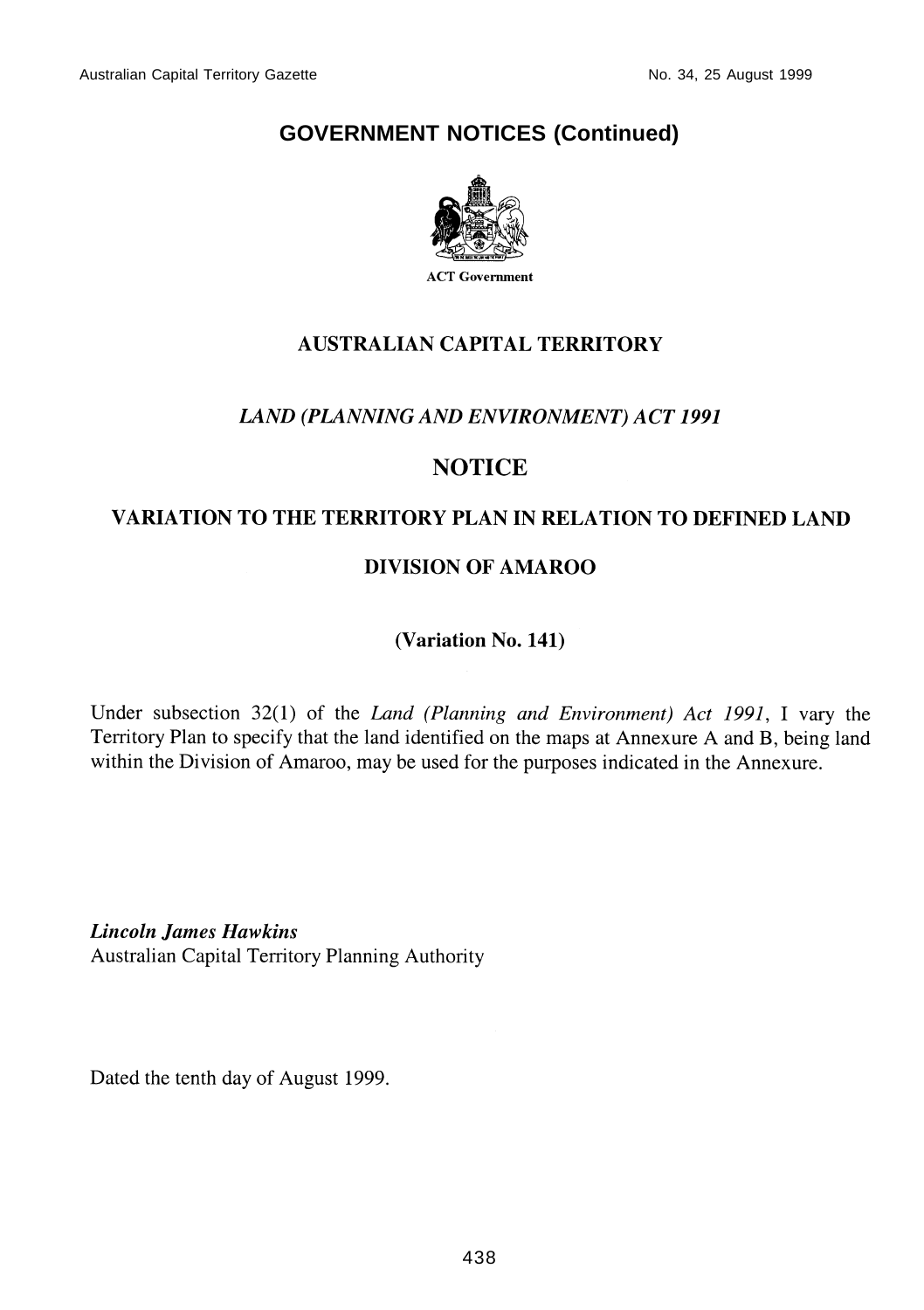

## **AUSTRALIAN CAPITAL TERRITORY**

## LAND (PLANNING AND ENVIRONMENT) ACT 1991

## **NOTICE**

## VARIATION TO THE TERRITORY PLAN IN RELATION TO DEFINED LAND

## **DIVISION OF AMAROO**

(Variation No. 141)

Under subsection  $32(1)$  of the *Land (Planning and Environment)* Act 1991, I vary the Territory Plan to specify that the land identified on the maps at Annexure A and B, being land within the Division of Amaroo, may be used for the purposes indicated in the Annexure.

**Lincoln James Hawkins** Australian Capital Territory Planning Authority

Dated the tenth day of August 1999.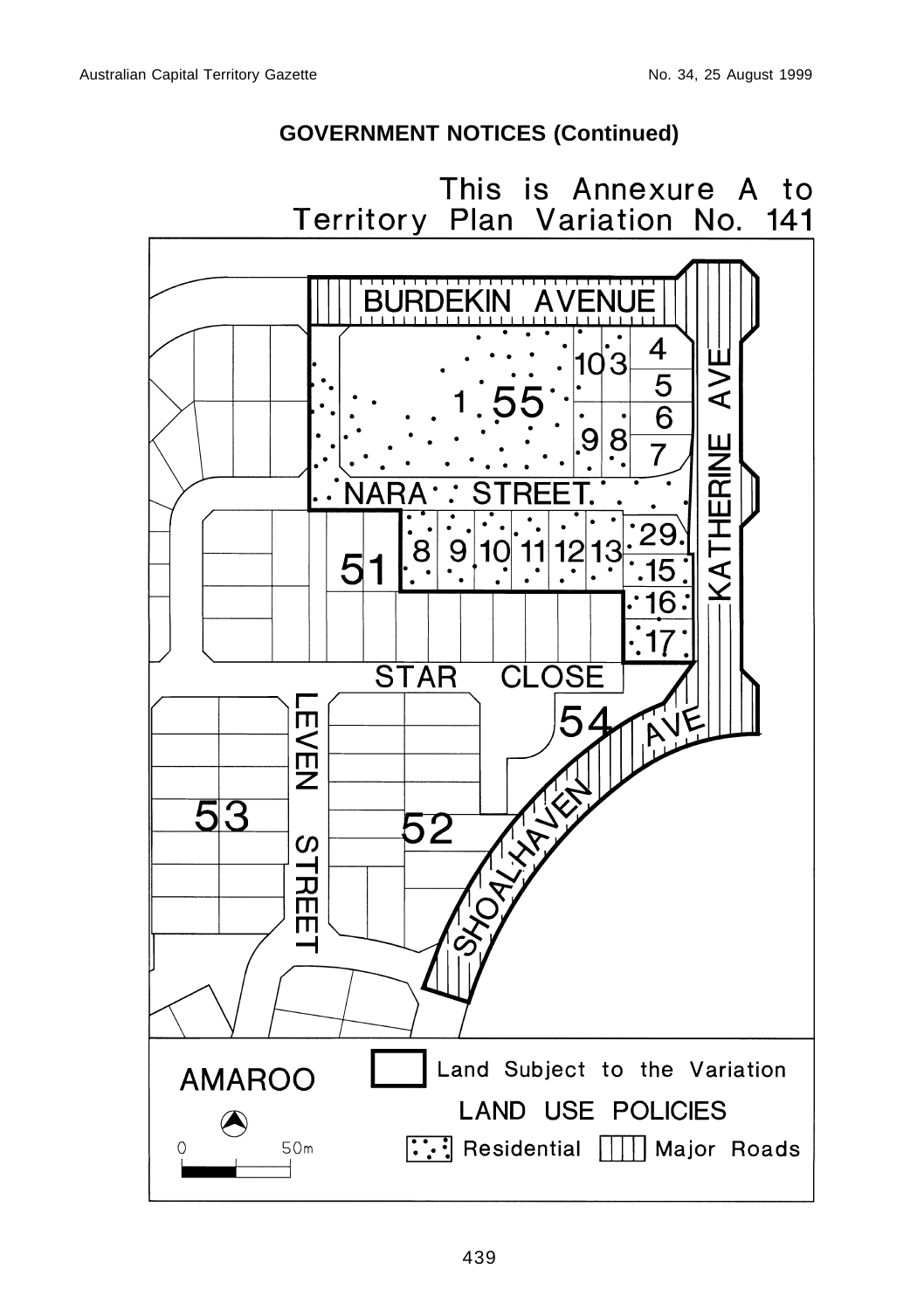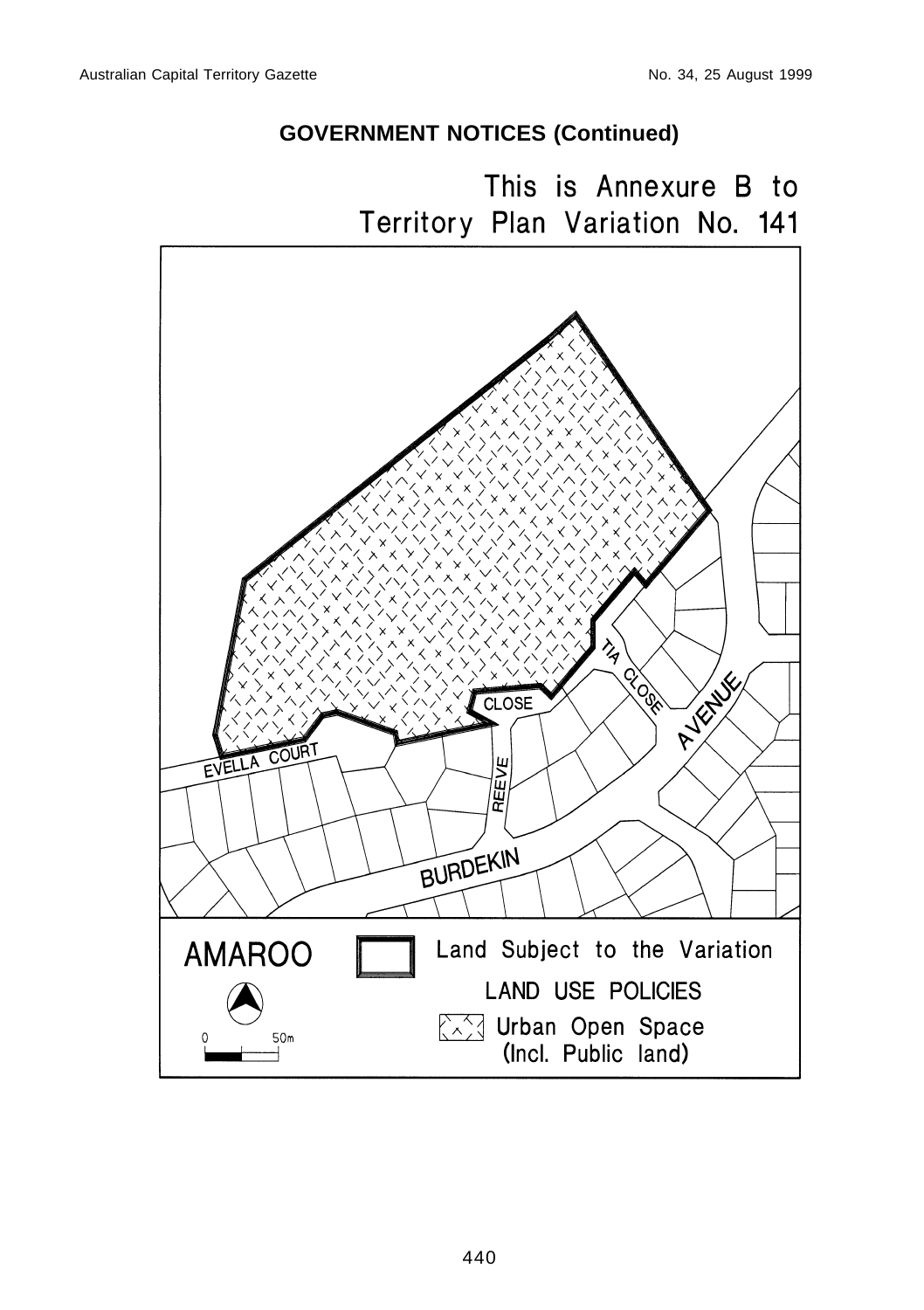This is Annexure B to Territory Plan Variation No. 141

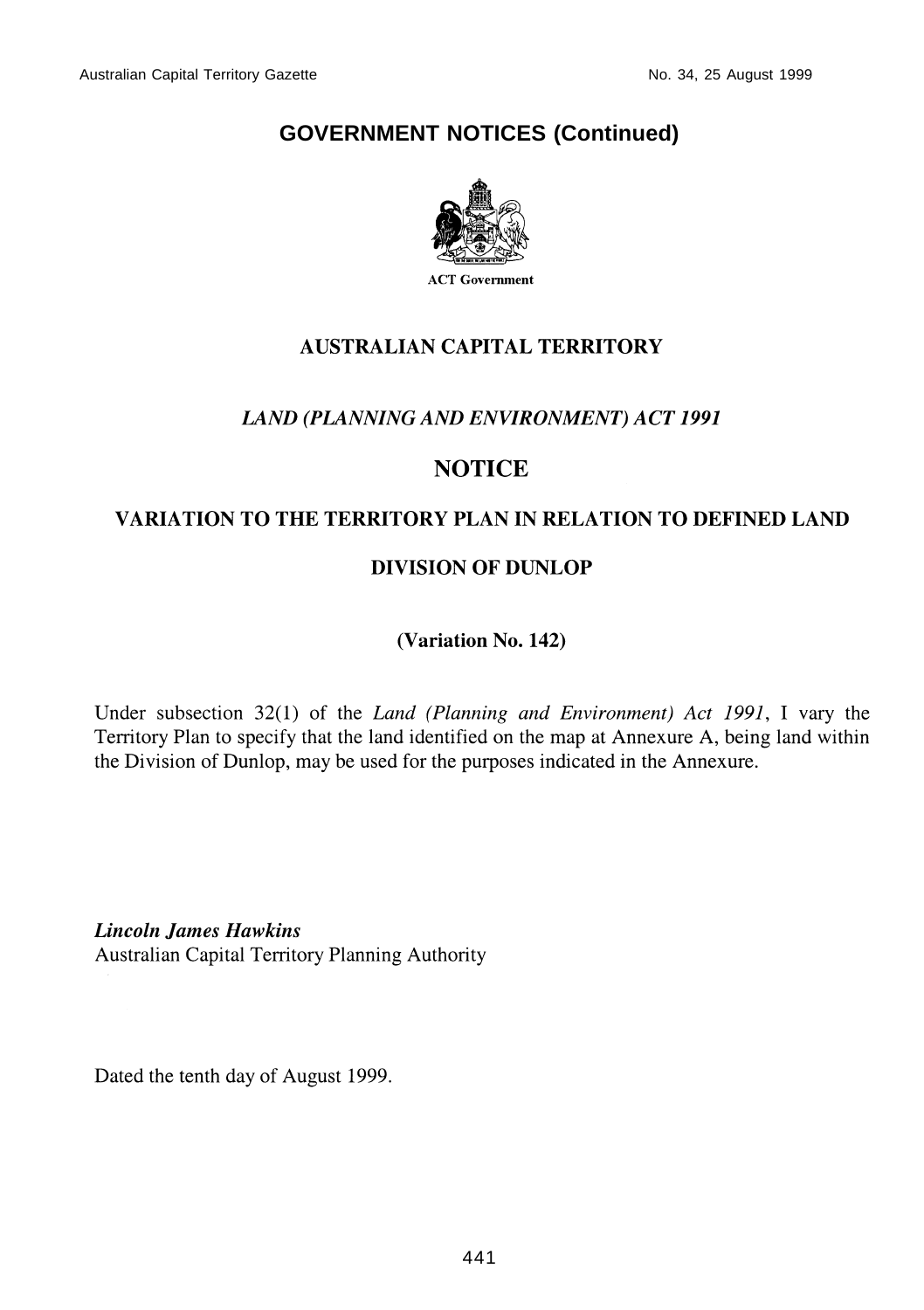

## **AUSTRALIAN CAPITAL TERRITORY**

## **LAND (PLANNING AND ENVIRONMENT) ACT 1991**

## **NOTICE**

## **VARIATION TO THE TERRITORY PLAN IN RELATION TO DEFINED LAND**

## **DIVISION OF DUNLOP**

(Variation No. 142)

Under subsection  $32(1)$  of the *Land (Planning and Environment)* Act 1991, I vary the Territory Plan to specify that the land identified on the map at Annexure A, being land within the Division of Dunlop, may be used for the purposes indicated in the Annexure.

**Lincoln James Hawkins** Australian Capital Territory Planning Authority

Dated the tenth day of August 1999.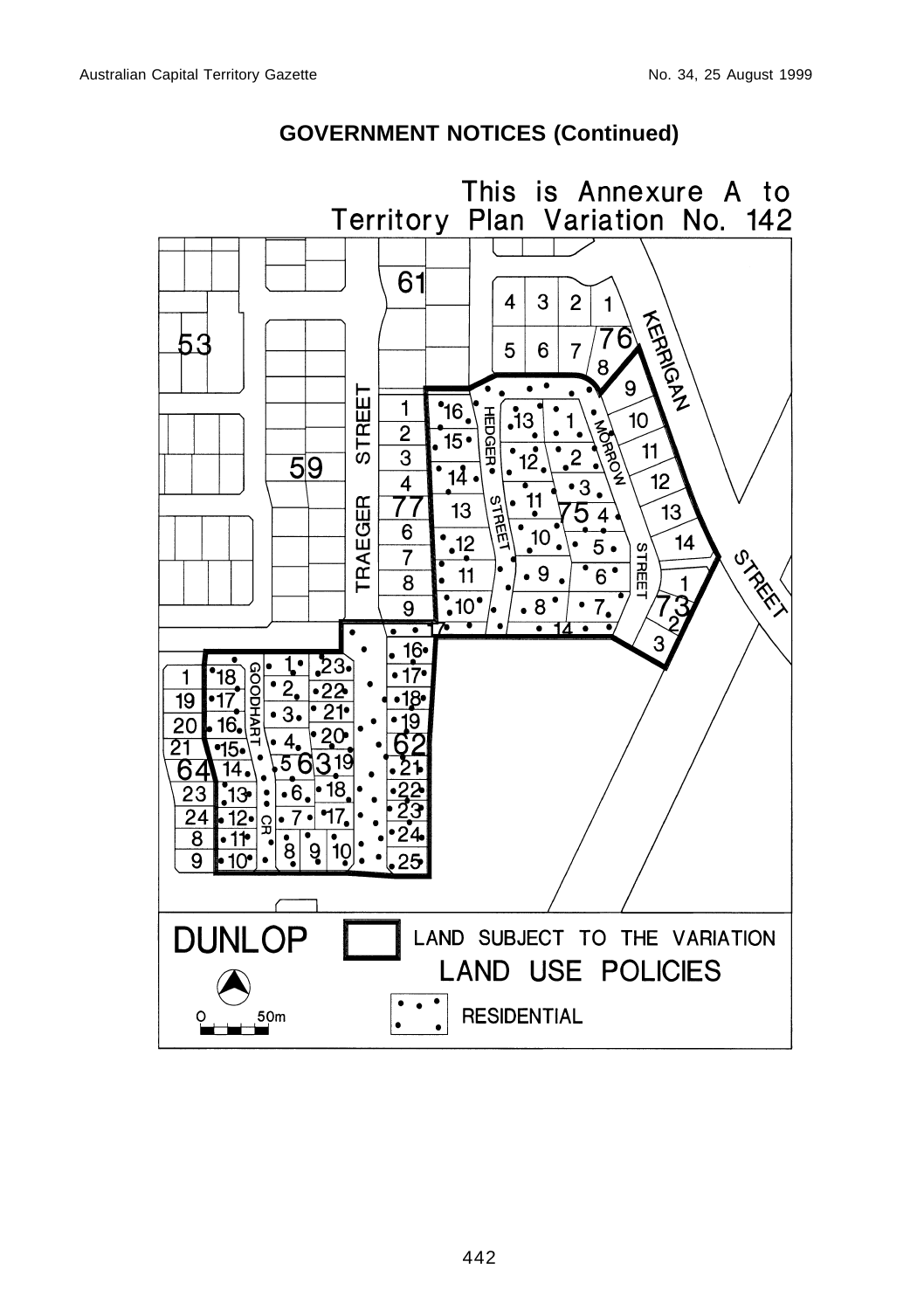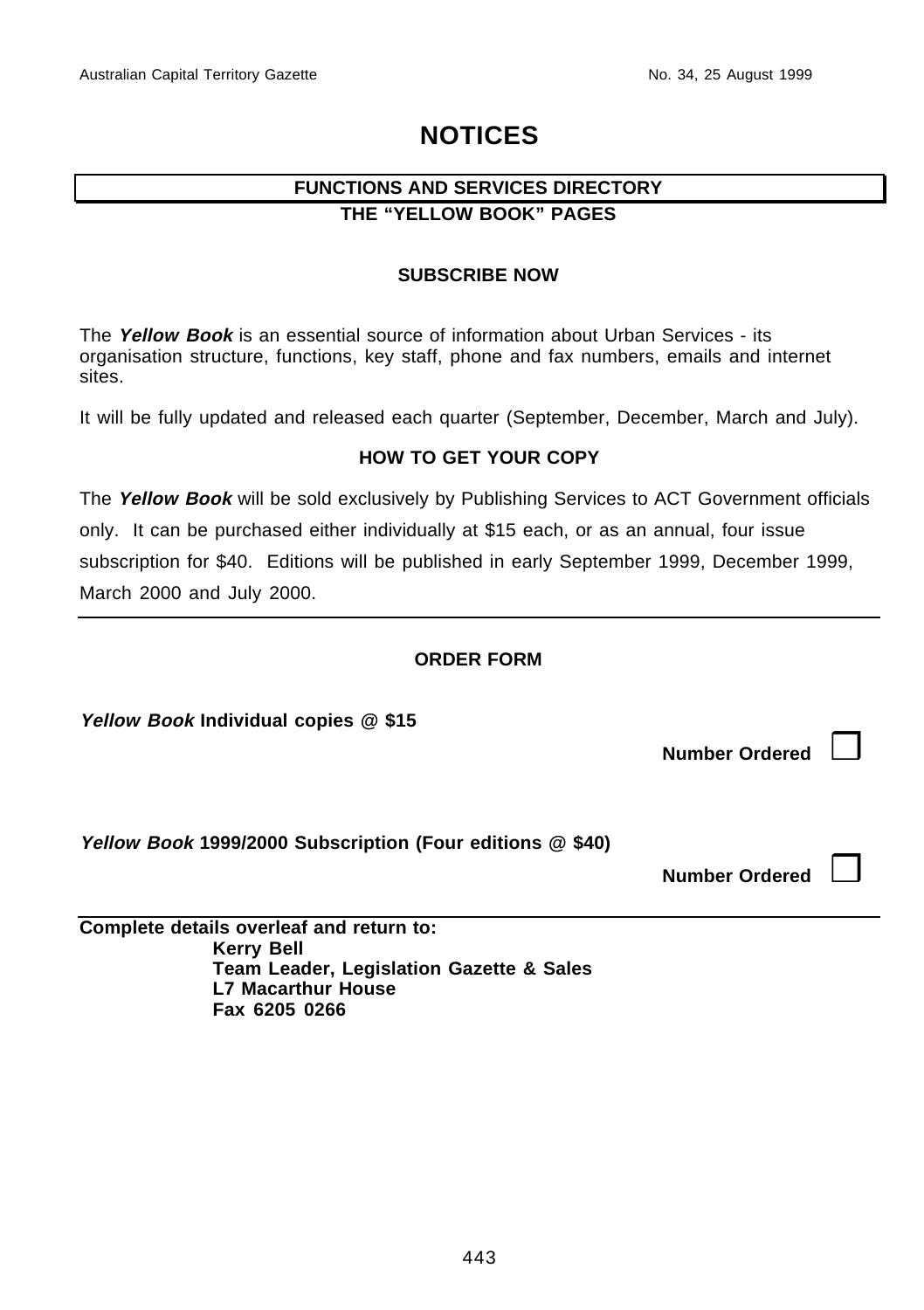## **NOTICES**

## **FUNCTIONS AND SERVICES DIRECTORY THE "YELLOW BOOK" PAGES**

#### **SUBSCRIBE NOW**

The **Yellow Book** is an essential source of information about Urban Services - its organisation structure, functions, key staff, phone and fax numbers, emails and internet sites.

It will be fully updated and released each quarter (September, December, March and July).

#### **HOW TO GET YOUR COPY**

The **Yellow Book** will be sold exclusively by Publishing Services to ACT Government officials only. It can be purchased either individually at \$15 each, or as an annual, four issue subscription for \$40. Editions will be published in early September 1999, December 1999, March 2000 and July 2000.

## **ORDER FORM**

**Yellow Book Individual copies @ \$15**

**Number Ordered**  $\vert$ 

**Yellow Book 1999/2000 Subscription (Four editions @ \$40)**

**Number Ordered** | |

**Complete details overleaf and return to: Kerry Bell Team Leader, Legislation Gazette & Sales L7 Macarthur House Fax 6205 0266**